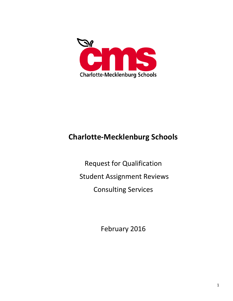

# **Charlotte-Mecklenburg Schools**

Request for Qualification Student Assignment Reviews Consulting Services

February 2016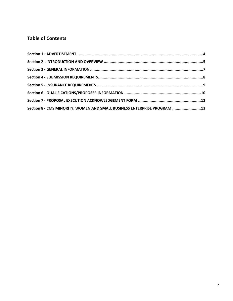# **Table of Contents**

| Section 8 - CMS MINORITY, WOMEN AND SMALL BUSINESS ENTERPRISE PROGRAM 13 |  |
|--------------------------------------------------------------------------|--|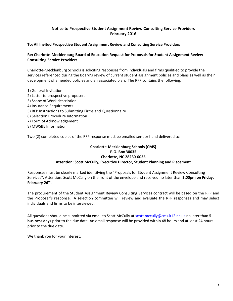### **Notice to Prospective Student Assignment Review Consulting Service Providers February 2016**

#### **To: All Invited Prospective Student Assignment Review and Consulting Service Providers**

### **Re: Charlotte-Mecklenburg Board of Education Request for Proposals for Student Assignment Review Consulting Service Providers**

Charlotte-Mecklenburg Schools is soliciting responses from individuals and firms qualified to provide the services referenced during the Board's review of current student assignment policies and plans as well as their development of amended policies and an associated plan. The RFP contains the following:

- 1) General Invitation
- 2) Letter to prospective proposers 3) Scope of Work description 4) Insurance Requirements 5) RFP Instructions to Submitting Firms and Questionnaire 6) Selection Procedure Information
- 7) Form of Acknowledgement
- 8) MWSBE Information

Two (2) completed copies of the RFP response must be emailed sent or hand delivered to:

### **Charlotte-Mecklenburg Schools (CMS) P.O. Box 30035 Charlotte, NC 28230-0035 Attention: Scott McCully, Executive Director, Student Planning and Placement**

Responses must be clearly marked identifying the "Proposals for Student Assignment Review Consulting Services", Attention: Scott McCully on the front of the envelope and received no later than **5:00pm on Friday, February 26th .** 

The procurement of the Student Assignment Review Consulting Services contract will be based on the RFP and the Proposer's response. A selection committee will review and evaluate the RFP responses and may select individuals and firms to be interviewed.

All questions should be submitted via email to Scott McCully a[t scott.mccully@cms.k12.nc.us](mailto:scott.mccully@cms.k12.nc.us) no later than **5 business days** prior to the due date. An email response will be provided within 48 hours and at least 24 hours prior to the due date.

We thank you for your interest.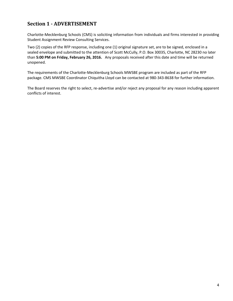## **Section 1 - ADVERTISEMENT**

Charlotte-Mecklenburg Schools (CMS) is soliciting information from individuals and firms interested in providing Student Assignment Review Consulting Services.

Two (2) copies of the RFP response, including one (1) original signature set, are to be signed, enclosed in a sealed envelope and submitted to the attention of Scott McCully, P.O. Box 30035, Charlotte, NC 28230 no later than **5:00 PM on Friday, February 26, 2016.** Any proposals received after this date and time will be returned unopened.

The requirements of the Charlotte-Mecklenburg Schools MWSBE program are included as part of the RFP package. CMS MWSBE Coordinator Chiquitha Lloyd can be contacted at 980-343-8638 for further information.

The Board reserves the right to select, re-advertise and/or reject any proposal for any reason including apparent conflicts of interest.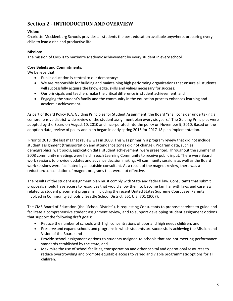# **Section 2 - INTRODUCTION AND OVERVIEW**

### **Vision:**

Charlotte-Mecklenburg Schools provides all students the best education available anywhere, preparing every child to lead a rich and productive life.

### **Mission:**

The mission of CMS is to maximize academic achievement by every student in every school.

### **Core Beliefs and Commitments:**

We believe that:

- Public education is central to our democracy;
- We are responsible for building and maintaining high performing organizations that ensure all students will successfully acquire the knowledge, skills and values necessary for success;
- Our principals and teachers make the critical difference in student achievement; and
- Engaging the student's family and the community in the education process enhances learning and academic achievement.

As part of Board Policy JCA, Guiding Principles for Student Assignment, the Board "shall consider undertaking a comprehensive district-wide review of the student assignment plan every six years." The Guiding Principles were adopted by the Board on August 10, 2010 and incorporated into the policy on November 9, 2010. Based on the adoption date, review of policy and plan began in early spring 2015 for 2017-18 plan implementation.

Prior to 2010, the last magnet review was in 2008. This was primarily a program review that did not include student assignment (transportation and attendance zones did not change). Program data, such as demographics, wait pools, application data, student achievement, were presented. Throughout the summer of 2008 community meetings were held in each Learning Community to receive public input. There were Board work sessions to provide updates and advance decision making. All community sessions as well as the Board work sessions were facilitated by an outside consultant. As a result of the magnet review, there was a reduction/consolidation of magnet programs that were not effective.

The results of the student assignment plan must comply with State and federal law. Consultants that submit proposals should have access to resources that would allow them to become familiar with laws and case law related to student placement programs, including the recent United States Supreme Court case, Parents Involved in Community Schools v. Seattle School District, 551 U.S. 701 (2007).

The CMS Board of Education (the "School District"), is requesting Consultants to propose services to guide and facilitate a comprehensive student assignment review, and to support developing student assignment options that support the following draft goals:

- Reduce the number of schools with high concentrations of poor and high needs children; and
- Preserve and expand schools and programs in which students are successfully achieving the Mission and Vision of the Board; and
- Provide school assignment options to students assigned to schools that are not meeting performance standards established by the state; and
- Maximize the use of school facilities, transportation and other capital and operational resources to reduce overcrowding and promote equitable access to varied and viable programmatic options for all children.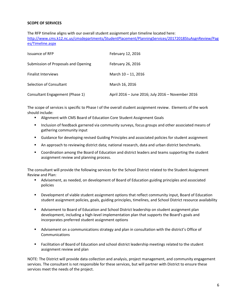#### **SCOPE OF SERVICES**

The RFP timeline aligns with our overall student assignment plan timeline located here: [http://www.cms.k12.nc.us/cmsdepartments/StudentPlacement/PlanningServices/20172018StuAsgnReview/Pag](http://www.cms.k12.nc.us/cmsdepartments/StudentPlacement/PlanningServices/20172018StuAsgnReview/Pages/Timeline.aspx) [es/Timeline.aspx](http://www.cms.k12.nc.us/cmsdepartments/StudentPlacement/PlanningServices/20172018StuAsgnReview/Pages/Timeline.aspx)

| <b>Issuance of RFP</b>              | February 12, 2016                                 |
|-------------------------------------|---------------------------------------------------|
| Submission of Proposals and Opening | February 26, 2016                                 |
| <b>Finalist Interviews</b>          | March $10 - 11$ , 2016                            |
| Selection of Consultant             | March 16, 2016                                    |
| Consultant Engagement (Phase 1)     | April 2016 - June 2016; July 2016 - November 2016 |

The scope of services is specific to Phase I of the overall student assignment review. Elements of the work should include:

- Alignment with CMS Board of Education Core Student Assignment Goals
- **Inclusion of feedback garnered via community surveys, focus groups and other associated means of** gathering community input
- Guidance for developing revised Guiding Principles and associated policies for student assignment
- **An approach to reviewing district data; national research, data and urban district benchmarks.**
- Coordination among the Board of Education and district leaders and teams supporting the student assignment review and planning process.

The consultant will provide the following services for the School District related to the Student Assignment Review and Plan:

- Advisement, as needed, on development of Board of Education guiding principles and associated policies
- Development of viable student assignment options that reflect community input, Board of Education student assignment policies, goals, guiding principles, timelines, and School District resource availability
- Advisement to Board of Education and School District leadership on student assignment plan development, including a high-level implementation plan that supports the Board's goals and incorporates preferred student assignment options
- **Advisement on a communications strategy and plan in consultation with the district's Office of** Communications
- **Facilitation of Board of Education and school district leadership meetings related to the student** assignment review and plan

NOTE: The District will provide data collection and analysis, project management, and community engagement services. The consultant is not responsible for these services, but will partner with District to ensure these services meet the needs of the project.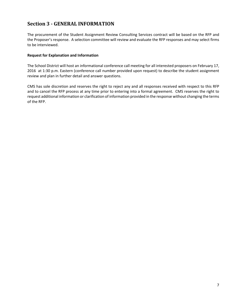# **Section 3 - GENERAL INFORMATION**

The procurement of the Student Assignment Review Consulting Services contract will be based on the RFP and the Proposer's response. A selection committee will review and evaluate the RFP responses and may select firms to be interviewed.

#### **Request for Explanation and Information**

The School District will host an informational conference call meeting for all interested proposers on February 17, 2016 at 1:30 p.m. Eastern (conference call number provided upon request) to describe the student assignment review and plan in further detail and answer questions.

CMS has sole discretion and reserves the right to reject any and all responses received with respect to this RFP and to cancel the RFP process at any time prior to entering into a formal agreement. CMS reserves the right to request additional information or clarification of information provided in the response without changing the terms of the RFP.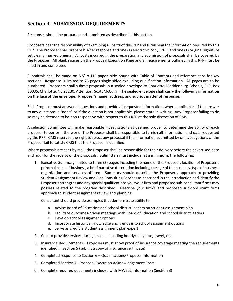## **Section 4 - SUBMISSION REQUIREMENTS**

Responses should be prepared and submitted as described in this section.

Proposers bear the responsibility of examining all parts of this RFP and furnishing the information required by this RFP. The Proposer shall prepare his/her response and one (1) electronic copy (PDF) and one (1) original signature set clearly marked original. All costs incurred in the preparation and submission of proposals shall be covered by the Proposer. All blank spaces on the Proposal Execution Page and all requirements outlined in this RFP must be filled in and completed.

Submittals shall be made on 8.5" x 11" paper, side bound with Table of Contents and reference tabs for key sections. Response is limited to 25 pages single sided excluding qualification information. All pages are to be numbered. Proposers shall submit proposals in a sealed envelope to Charlotte-Mecklenburg Schools, P.O. Box 30035, Charlotte, NC 28230, Attention: Scott McCully. **The sealed envelope shall carry the following information on the face of the envelope: Proposer's name, address, and subject matter of response.**

Each Proposer must answer all questions and provide all requested information, where applicable. If the answer to any questions is "none" or if the question is not applicable, please state in writing. Any Proposer failing to do so may be deemed to be non responsive with respect to this RFP at the sole discretion of CMS.

A selection committee will make reasonable investigations as deemed proper to determine the ability of each proposer to perform the work. The Proposer shall be responsible to furnish all information and data requested by the RFP. CMS reserves the right to reject any proposal if the information submitted by or investigations of the Proposer fail to satisfy CMS that the Proposer is qualified.

Where proposals are sent by mail, the Proposer shall be responsible for their delivery before the advertised date and hour for the receipt of the proposals. **Submittals must include, at a minimum, the following:**

1. Executive Summary limited to three (3) pages including the name of the Proposer, location of Proposer's principal place of business, a brief narrative description including the age of the business, type of business organization and services offered. Summary should describe the Proposer's approach to providing Student Assignment Review and Plan Consulting Services as described in the Introduction and identify the Proposer's strengths and any special qualifications you/your firm and proposed sub-consultant firms may possess related to the program described. Describe your firm's and proposed sub-consultant firms approach to student assignment review and planning.

Consultant should provide examples that demonstrate ability to

- a. Advise Board of Education and school district leaders on student assignment plan
- b. Facilitate outcomes-driven meetings with Board of Education and school district leaders
- c. Develop school assignment options
- d. Incorporate historical knowledge and trends into school assignment options
- e. Serve as credible student assignment plan expert
- 2. Cost to provide services during phase I including hourly/daily rate, travel, etc.
- 3. Insurance Requirements Proposers must show proof of insurance coverage meeting the requirements identified in Section 5 (submit a copy of insurance certificate)
- 4. Completed response to Section 6 Qualifications/Proposer Information
- 5. Completed Section 7 Proposal Execution Acknowledgement Form
- 6. Complete required documents included with MWSBE Information (Section 8)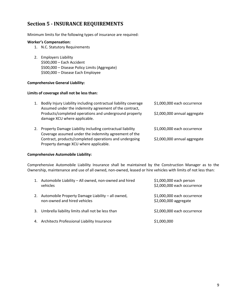### **Section 5 - INSURANCE REQUIREMENTS**

Minimum limits for the following types of insurance are required:

#### **Worker's Compensation:**

- 1. N.C. Statutory Requirements
- 2. Employers Liability \$500,000 – Each Accident \$500,000 – Disease Policy Limits (Aggregate) \$500,000 – Disease Each Employee

#### **Comprehensive General Liability:**

#### **Limits of coverage shall not be less than:**

| 1. | Bodily Injury Liability including contractual liability coverage<br>Assumed under the indemnity agreement of the contract, | \$1,000,000 each occurrence  |
|----|----------------------------------------------------------------------------------------------------------------------------|------------------------------|
|    | Products/completed operations and underground property<br>damage XCU where applicable.                                     | \$2,000,000 annual aggregate |
| 2. | Property Damage Liability including contractual liability<br>Coverage assumed under the indemnity agreement of the         | \$1,000,000 each occurrence  |
|    | Contract, products/completed operations and undergoing<br>Property damage XCU where applicable.                            | \$2,000,000 annual aggregate |

#### **Comprehensive Automobile Liability:**

Comprehensive Automobile Liability Insurance shall be maintained by the Construction Manager as to the Ownership, maintenance and use of all owned, non-owned, leased or hire vehicles with limits of not less than:

| 1. | Automobile Liability - All owned, non-owned and hired<br>vehicles                    | \$1,000,000 each person<br>\$2,000,000 each occurrence |
|----|--------------------------------------------------------------------------------------|--------------------------------------------------------|
|    | 2. Automobile Property Damage Liability - all owned,<br>non-owned and hired vehicles | \$1,000,000 each occurrence<br>\$2,000,000 aggregate   |
|    | 3. Umbrella liability limits shall not be less than                                  | \$2,000,000 each occurrence                            |
|    | 4. Architects Professional Liability Insurance                                       | \$1,000,000                                            |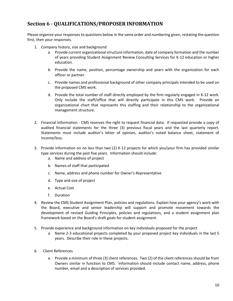# **Section 6 - QUALIFICATIONS/PROPOSER INFORMATION**

Please organize your responses to questions below in the same order and numbering given, restating the question first, then your responses.

- 1. Company history, size and background
	- a. Provide current organizational structure information, date of company formation and the number of years providing Student Assignment Review Consulting Services for K-12 education or higher education.
	- b. Provide the name, position, percentage ownership and years with the organization for each officer or partner.
	- c. Provide names and professional background of other company principals intended to be used on the proposed CMS work.
	- d. Provide the total number of staff directly employed by the firm regularly engaged in K-12 work. Only include the staff/office that will directly participate in this CMS work. Provide an organizational chart that represents this staffing and their relationship to the organizational management structure.
- 2. Financial Information CMS reserves the right to request financial data. If requested provide a copy of audited financial statements for the three (3) previous fiscal years and the last quarterly report. Statements must include auditor's letter of opinion, auditor's noted balance sheet, statement of income/loss.
- 3. Provide information on no less than two (2) K-12 projects for which you/your firm has provided similar type services during the past five years. Information should include:
	- a. Name and address of project
	- b. Names of staff that participated
	- c. Name, address and phone number for Owner's Representative
	- d. Type and size of project
	- e. Actual Cost
	- f. Duration
- 4. Review the CMS Student Assignment Plan, policies and regulations. Explain how your agency's work with the Board, executive and senior leadership will support and promote movement towards the development of revised Guiding Principles, policies and regulations, and a student assignment plan framework based on the Board's draft goals for student assignment.
- 5. Provide experience and background information on key individuals proposed for the project
	- a. Name 2-3 educational projects completed by your proposed project key individuals in the last 5 years. Describe their role in these projects.
- 6. Client References
	- a. Provide a minimum of three (3) client references. Two (2) of the client references should be from Owners similar in function to CMS. Information should include contact name, address, phone number, email and a description of services provided.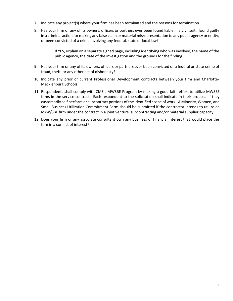- 7. Indicate any project(s) where your firm has been terminated and the reasons for termination.
- 8. Has your firm or any of its owners, officers or partners ever been found liable in a civil suit, found guilty in a criminal action for making any false claim or material misrepresentation to any public agency or entity, or been convicted of a crime involving any federal, state or local law?

If YES, explain on a separate signed page, including identifying who was involved, the name of the public agency, the date of the investigation and the grounds for the finding.

- 9. Has your firm or any of its owners, officers or partners ever been convicted or a federal or state crime of fraud, theft, or any other act of dishonesty?
- 10. Indicate any prior or current Professional Development contracts between your firm and Charlotte-Mecklenburg Schools.
- 11. Respondents shall comply with CMS's MWSBE Program by making a good faith effort to utilize MWSBE firms in the service contract. Each respondent to the solicitation shall indicate in their proposal if they customarily self perform or subcontract portions of the identified scope of work. A Minority, Women, and Small Business Utilization Commitment Form should be submitted if the contractor intends to utilize an M/W/SBE firm under the contract in a joint venture, subcontracting and/or material supplier capacity
- 12. Does your firm or any associate consultant own any business or financial interest that would place the firm in a conflict of interest?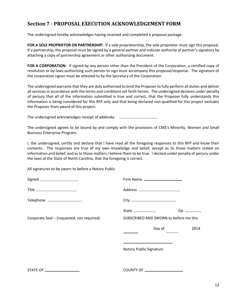### **Section 7 - PROPOSAL EXECUTION ACKNOWLEDGEMENT FORM**

The undersigned hereby acknowledges having received and completed a proposal package.

**FOR A SOLE PROPRIETOR OR PARTNERSHIP:** If a sole proprietorship, the sole proprietor must sign this proposal. If a partnership, the proposal must be signed by a general partner and indicate authority of partner's signatory by attaching a copy of partnership agreement or other authorizing document.

**FOR A CORPORATION:** If signed by any person other than the President of the Corporation, a certified copy of resolution or by-laws authorizing such person to sign must accompany this proposal/response. The signature of the corporation signer must be attested to by the Secretary of the Corporation.

The undersigned warrants that they are duly authorized to bind the Proposer to fully perform all duties and deliver all services in accordance with the terms and conditions set forth herein. The undersigned declares under penalty of perjury that all of the information submitted is true and correct, that the Proposer fully understands this information is being considered for this RFP only and that being declared non-qualified for this project excludes the Proposer from award of this project.

The undersigned acknowledges receipt of addenda:

The undersigned agrees to be bound by and comply with the provisions of CMS's Minority, Women and Small Business Enterprise Program.

I, the undersigned, certify and declare that I have read all the foregoing responses to this RFP and know their contents. The responses are true of my own knowledge and belief, except as to those matters stated on information and belief, and as to those matters I believe them to be true. I declare under penalty of perjury under the laws of the State of North Carolina, that the foregoing is correct.

All signatures to be sworn to before a Notary Public

| Signed _____________________               | Firm Name ____________________                                                                                       |
|--------------------------------------------|----------------------------------------------------------------------------------------------------------------------|
| Title _________________________            | Address _______________________                                                                                      |
| Telephone ___________________              |                                                                                                                      |
| Corporate Seal - (requested, not required) | State ____________<br>$\mathsf{Zip}$<br>SUBSCRIBED AND SWORN to before me this                                       |
|                                            | Day of<br>2014                                                                                                       |
|                                            | the control of the control of the control of the control of the control of the control of<br>Notary Public Signature |
| STATE OF ____________________              | COUNTY OF __________________                                                                                         |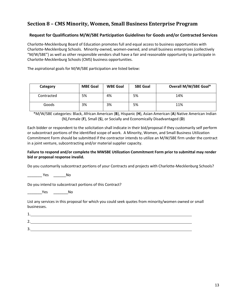### **Section 8 – CMS Minority, Women, Small Business Enterprise Program**

### **Request for Qualifications M/W/SBE Participation Guidelines for Goods and/or Contracted Services**

Charlotte-Mecklenburg Board of Education promotes full and equal access to business opportunities with Charlotte-Mecklenburg Schools. Minority-owned, women-owned, and small business enterprises (collectively "M/W/SBE") as well as other responsible vendors shall have a fair and reasonable opportunity to participate in Charlotte-Mecklenburg Schools (CMS) business opportunities.

The aspirational goals for M/W/SBE participation are listed below:

| Category   | <b>MBE Goal</b> | <b>WBE Goal</b> | <b>SBE Goal</b> | Overall M/W/SBE Goal* |
|------------|-----------------|-----------------|-----------------|-----------------------|
| Contracted | 5%              | 4%              | 5%              | 14%                   |
| Goods      | 3%              | 3%              | 5%              | 11%                   |

 \*M/W/SBE categories: Black, African American (**B**), Hispanic (**H**), Asian American (**A**) Native American Indian (N),Female (**F**), Small (**S**), or Socially and Economically Disadvantaged (**D**)

Each bidder or respondent to the solicitation shall indicate in their bid/proposal if they customarily self perform or subcontract portions of the identified scope of work. A Minority, Women, and Small Business Utilization Commitment Form should be submitted if the contractor intends to utilize an M/W/SBE firm under the contract in a joint venture, subcontracting and/or material supplier capacity.

### **Failure to respond and/or complete the MWSBE Utilization Commitment Form prior to submittal may render bid or proposal response invalid.**

Do you customarily subcontract portions of your Contracts and projects with Charlotte-Mecklenburg Schools?

\_\_\_\_\_\_\_ Yes \_\_\_\_\_\_No

Do you intend to subcontract portions of this Contract?

\_\_\_\_\_\_\_Yes \_\_\_\_\_\_\_No

List any services in this proposal for which you could seek quotes from minority/women owned or small businesses.

| <u>.</u> . |  |
|------------|--|
| . پ        |  |